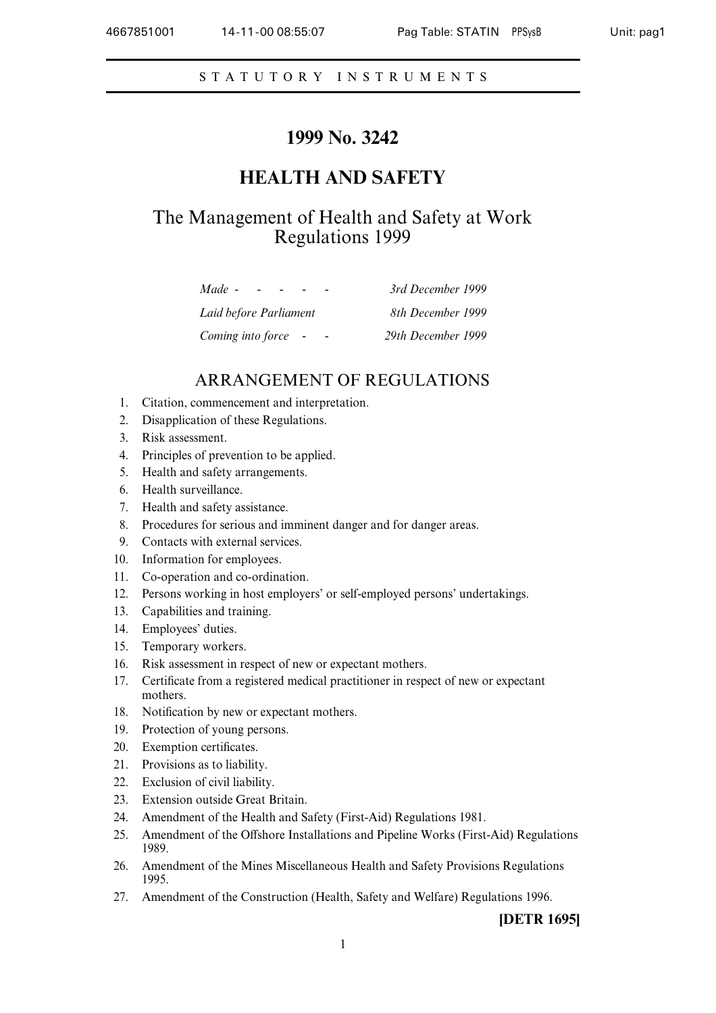## STATUTORY INSTRUMENTS

## **1999 No. 3242**

## **HEALTH AND SAFETY**

# The Management of Health and Safety at Work Regulations 1999

| Made -                 | 3rd December 1999  |
|------------------------|--------------------|
| Laid before Parliament | 8th December 1999  |
| Coming into force      | 29th December 1999 |

## ARRANGEMENT OF REGULATIONS

- 1. Citation, commencement and interpretation.
- 2. Disapplication of these Regulations.
- 3. Risk assessment.
- 4. Principles of prevention to be applied.
- 5. Health and safety arrangements.
- 6. Health surveillance.
- 7. Health and safety assistance.
- 8. Procedures for serious and imminent danger and for danger areas.
- 9. Contacts with external services.
- 10. Information for employees.
- 11. Co-operation and co-ordination.
- 12. Persons working in host employers' or self-employed persons' undertakings.
- 13. Capabilities and training.
- 14. Employees' duties.
- 15. Temporary workers.
- 16. Risk assessment in respect of new or expectant mothers.
- 17. Certificate from a registered medical practitioner in respect of new or expectant mothers.
- 18. Notification by new or expectant mothers.
- 19. Protection of young persons.
- 20. Exemption certificates.
- 21. Provisions as to liability.
- 22. Exclusion of civil liability.
- 23. Extension outside Great Britain.
- 24. Amendment of the Health and Safety (First-Aid) Regulations 1981.
- 25. Amendment of the Offshore Installations and Pipeline Works (First-Aid) Regulations 1989.
- 26. Amendment of the Mines Miscellaneous Health and Safety Provisions Regulations 1995.
- 27. Amendment of the Construction (Health, Safety and Welfare) Regulations 1996.

## **[DETR 1695]**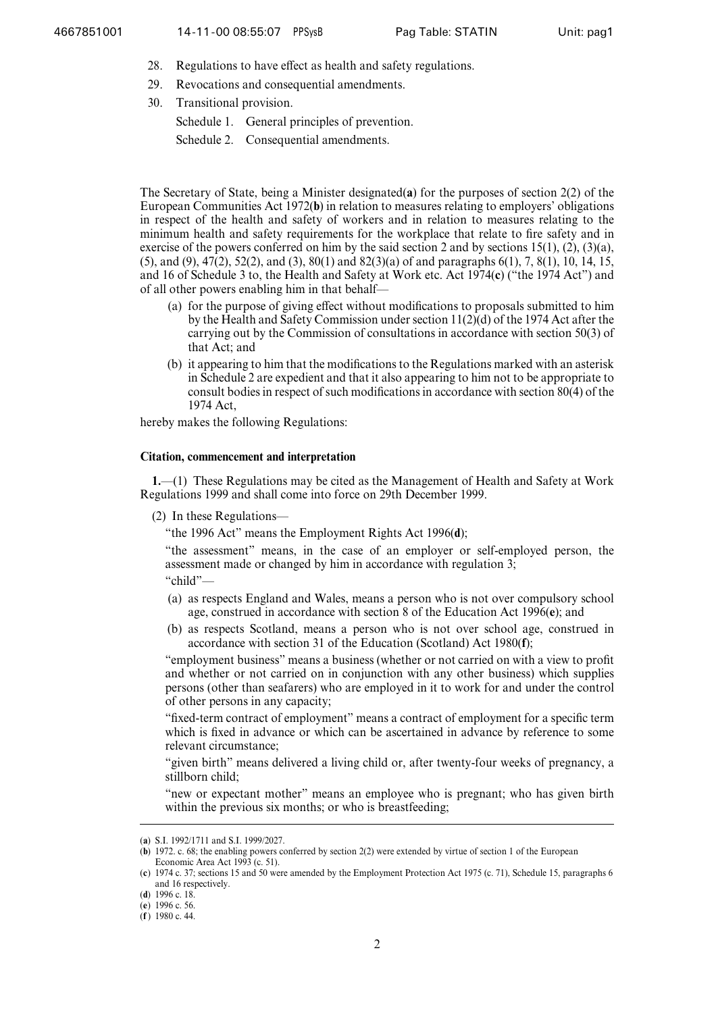- 28. Regulations to have effect as health and safety regulations.
- 29. Revocations and consequential amendments.
- 30. Transitional provision.
	- Schedule 1. General principles of prevention.
	- Schedule 2. Consequential amendments.

The Secretary of State, being a Minister designated(**a**) for the purposes of section 2(2) of the European Communities Act 1972(**b**) in relation to measures relating to employers' obligations in respect of the health and safety of workers and in relation to measures relating to the minimum health and safety requirements for the workplace that relate to fire safety and in exercise of the powers conferred on him by the said section 2 and by sections  $15(1)$ ,  $(2)$ ,  $(3)(a)$ , (5), and (9), 47(2), 52(2), and (3), 80(1) and 82(3)(a) of and paragraphs 6(1), 7, 8(1), 10, 14, 15, and 16 of Schedule 3 to, the Health and Safety at Work etc. Act 1974(**c**) ("the 1974 Act") and of all other powers enabling him in that behalf—

- (a) for the purpose of giving effect without modifications to proposals submitted to him by the Health and Safety Commission under section 11(2)(d) of the 1974 Act after the carrying out by the Commission of consultations in accordance with section 50(3) of that Act; and
- (b) it appearing to him that the modifications to the Regulations marked with an asterisk in Schedule 2 are expedient and that it also appearing to him not to be appropriate to consult bodies in respect of such modifications in accordance with section 80(4) of the 1974 Act,

hereby makes the following Regulations:

#### **Citation, commencement and interpretation**

**1.**—(1) These Regulations may be cited as the Management of Health and Safety at Work Regulations 1999 and shall come into force on 29th December 1999.

(2) In these Regulations—

"the 1996 Act" means the Employment Rights Act 1996(**d**);

"the assessment" means, in the case of an employer or self-employed person, the assessment made or changed by him in accordance with regulation 3;

"child"—

- (a) as respects England and Wales, means a person who is not over compulsory school age, construed in accordance with section 8 of the Education Act 1996(**e**); and
- (b) as respects Scotland, means a person who is not over school age, construed in accordance with section 31 of the Education (Scotland) Act 1980(**f**);

"employment business" means a business (whether or not carried on with a view to profit and whether or not carried on in conjunction with any other business) which supplies persons (other than seafarers) who are employed in it to work for and under the control of other persons in any capacity;

"fixed-term contract of employment" means a contract of employment for a specific term which is fixed in advance or which can be ascertained in advance by reference to some relevant circumstance;

"given birth" means delivered a living child or, after twenty-four weeks of pregnancy, a stillborn child;

"new or expectant mother" means an employee who is pregnant; who has given birth within the previous six months; or who is breastfeeding;

<sup>(</sup>a) S.I. 1992/1711 and S.I. 1999/2027.

<sup>(</sup>**b**) 1972. c. 68; the enabling powers conferred by section 2(2) were extended by virtue of section 1 of the European Economic Area Act 1993 (c. 51).

<sup>( 1974</sup> c. 37; sections 15 and 50 were amended by the Employment Protection Act 1975 (c. 71), Schedule 15, paragraphs 6 **c**) and 16 respectively.

<sup>(</sup>**d**) 1996 c. 18.

<sup>(</sup>e) 1996 c. 56.

 $(f)$  1980 c. 44.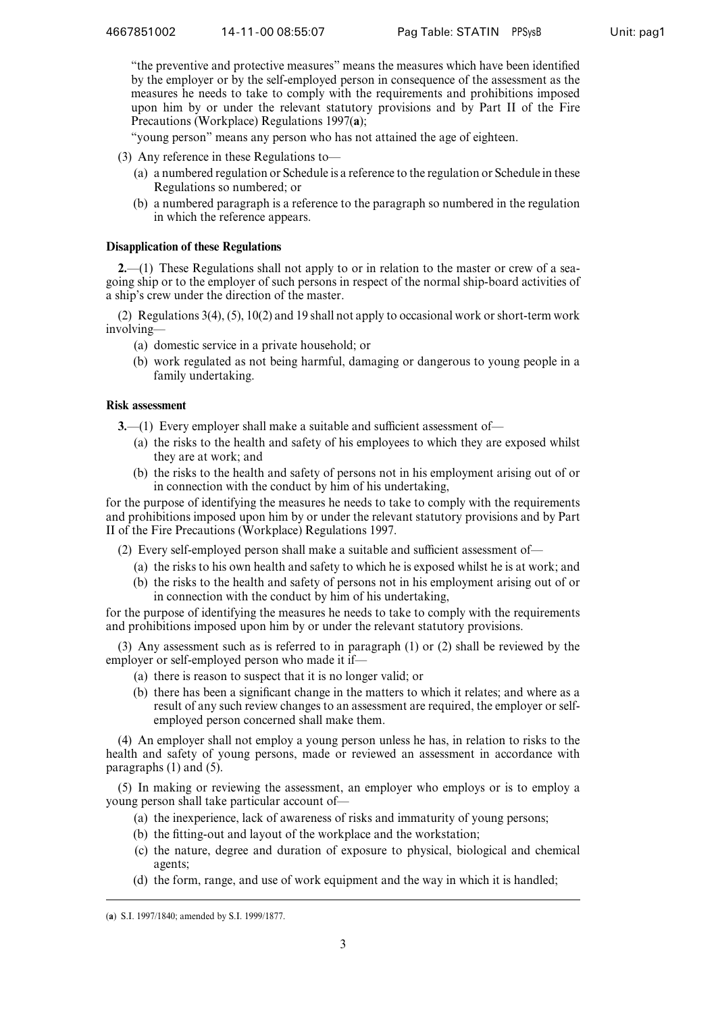"the preventive and protective measures" means the measures which have been identified by the employer or by the self-employed person in consequence of the assessment as the measures he needs to take to comply with the requirements and prohibitions imposed upon him by or under the relevant statutory provisions and by Part II of the Fire Precautions (Workplace) Regulations 1997(**a**);

"young person" means any person who has not attained the age of eighteen.

- (3) Any reference in these Regulations to—
	- (a) a numbered regulation or Schedule is a reference to the regulation or Schedule in these Regulations so numbered; or
	- (b) a numbered paragraph is a reference to the paragraph so numbered in the regulation in which the reference appears.

### **Disapplication of these Regulations**

**2.**—(1) These Regulations shall not apply to or in relation to the master or crew of a seagoing ship or to the employer of such persons in respect of the normal ship-board activities of a ship's crew under the direction of the master.

(2) Regulations 3(4), (5), 10(2) and 19 shall not apply to occasional work or short-term work involving—

- (a) domestic service in a private household; or
- (b) work regulated as not being harmful, damaging or dangerous to young people in a family undertaking.

## **Risk assessment**

**3.**—(1) Every employer shall make a suitable and sufficient assessment of—

- (a) the risks to the health and safety of his employees to which they are exposed whilst they are at work; and
- (b) the risks to the health and safety of persons not in his employment arising out of or in connection with the conduct by him of his undertaking,

for the purpose of identifying the measures he needs to take to comply with the requirements and prohibitions imposed upon him by or under the relevant statutory provisions and by Part II of the Fire Precautions (Workplace) Regulations 1997.

(2) Every self-employed person shall make a suitable and sufficient assessment of—

- (a) the risks to his own health and safety to which he is exposed whilst he is at work; and
- (b) the risks to the health and safety of persons not in his employment arising out of or in connection with the conduct by him of his undertaking,

for the purpose of identifying the measures he needs to take to comply with the requirements and prohibitions imposed upon him by or under the relevant statutory provisions.

(3) Any assessment such as is referred to in paragraph (1) or (2) shall be reviewed by the employer or self-employed person who made it if—

- (a) there is reason to suspect that it is no longer valid; or
- (b) there has been a significant change in the matters to which it relates; and where as a result of any such review changes to an assessment are required, the employer or selfemployed person concerned shall make them.

(4) An employer shall not employ a young person unless he has, in relation to risks to the health and safety of young persons, made or reviewed an assessment in accordance with paragraphs (1) and (5).

(5) In making or reviewing the assessment, an employer who employs or is to employ a young person shall take particular account of—

- (a) the inexperience, lack of awareness of risks and immaturity of young persons;
- (b) the fitting-out and layout of the workplace and the workstation;
- (c) the nature, degree and duration of exposure to physical, biological and chemical agents;
- (d) the form, range, and use of work equipment and the way in which it is handled;

<sup>(</sup>a) S.I. 1997/1840; amended by S.I. 1999/1877.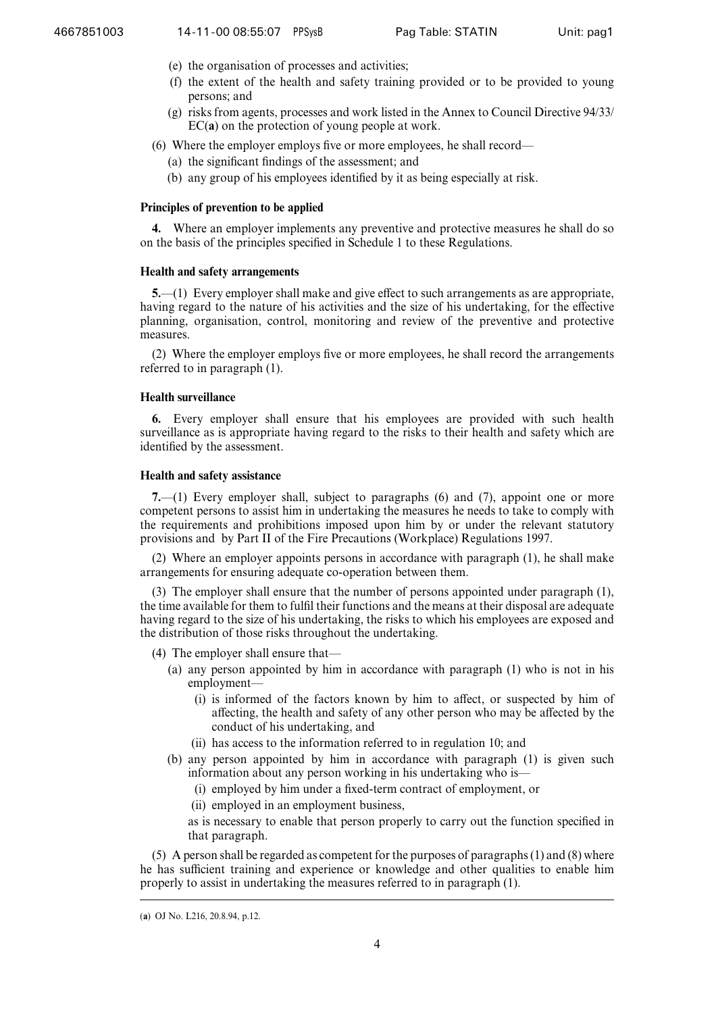- (e) the organisation of processes and activities;
- (f) the extent of the health and safety training provided or to be provided to young persons; and
- (g) risks from agents, processes and work listed in the Annex to Council Directive 94/33/ EC(**a**) on the protection of young people at work.
- (6) Where the employer employs five or more employees, he shall record—
	- (a) the significant findings of the assessment; and
	- (b) any group of his employees identified by it as being especially at risk.

#### **Principles of prevention to be applied**

**4.** Where an employer implements any preventive and protective measures he shall do so on the basis of the principles specified in Schedule 1 to these Regulations.

#### **Health and safety arrangements**

**5.**—(1) Every employer shall make and give effect to such arrangements as are appropriate, having regard to the nature of his activities and the size of his undertaking, for the effective planning, organisation, control, monitoring and review of the preventive and protective measures.

(2) Where the employer employs five or more employees, he shall record the arrangements referred to in paragraph (1).

### **Health surveillance**

**6.** Every employer shall ensure that his employees are provided with such health surveillance as is appropriate having regard to the risks to their health and safety which are identified by the assessment.

#### **Health and safety assistance**

**7.**—(1) Every employer shall, subject to paragraphs (6) and (7), appoint one or more competent persons to assist him in undertaking the measures he needs to take to comply with the requirements and prohibitions imposed upon him by or under the relevant statutory provisions and by Part II of the Fire Precautions (Workplace) Regulations 1997.

(2) Where an employer appoints persons in accordance with paragraph (1), he shall make arrangements for ensuring adequate co-operation between them.

(3) The employer shall ensure that the number of persons appointed under paragraph (1), the time available for them to fulfil their functions and the means at their disposal are adequate having regard to the size of his undertaking, the risks to which his employees are exposed and the distribution of those risks throughout the undertaking.

(4) The employer shall ensure that—

- (a) any person appointed by him in accordance with paragraph (1) who is not in his employment—
	- (i) is informed of the factors known by him to affect, or suspected by him of affecting, the health and safety of any other person who may be affected by the conduct of his undertaking, and
	- (ii) has access to the information referred to in regulation 10; and
- (b) any person appointed by him in accordance with paragraph (1) is given such information about any person working in his undertaking who is—
	- (i) employed by him under a fixed-term contract of employment, or
	- (ii) employed in an employment business,

as is necessary to enable that person properly to carry out the function specified in that paragraph.

(5) A person shall be regarded as competent for the purposes of paragraphs (1) and (8) where he has sufficient training and experience or knowledge and other qualities to enable him properly to assist in undertaking the measures referred to in paragraph (1).

<sup>(</sup>a) OJ No. L216, 20.8.94, p.12.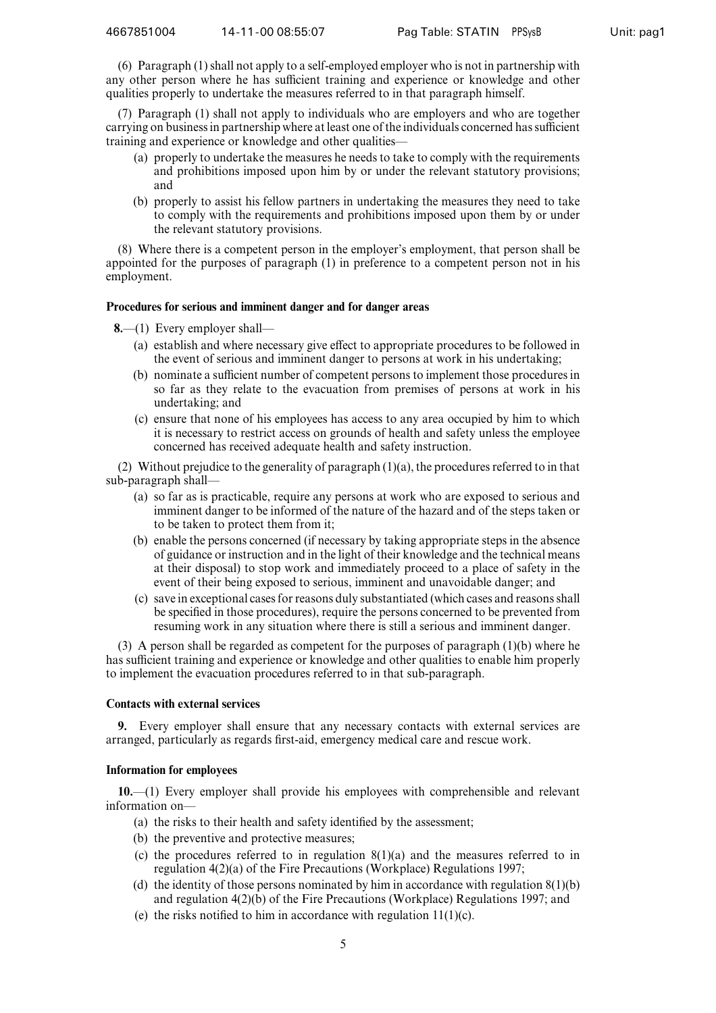(6) Paragraph (1) shall not apply to a self-employed employer who is not in partnership with any other person where he has sufficient training and experience or knowledge and other qualities properly to undertake the measures referred to in that paragraph himself.

(7) Paragraph (1) shall not apply to individuals who are employers and who are together carrying on business in partnership where at least one of the individuals concerned has sufficient training and experience or knowledge and other qualities—

- (a) properly to undertake the measures he needs to take to comply with the requirements and prohibitions imposed upon him by or under the relevant statutory provisions; and
- (b) properly to assist his fellow partners in undertaking the measures they need to take to comply with the requirements and prohibitions imposed upon them by or under the relevant statutory provisions.

(8) Where there is a competent person in the employer's employment, that person shall be appointed for the purposes of paragraph (1) in preference to a competent person not in his employment.

### **Procedures for serious and imminent danger and for danger areas**

**8.**—(1) Every employer shall—

- (a) establish and where necessary give effect to appropriate procedures to be followed in the event of serious and imminent danger to persons at work in his undertaking;
- (b) nominate a sufficient number of competent persons to implement those procedures in so far as they relate to the evacuation from premises of persons at work in his undertaking; and
- (c) ensure that none of his employees has access to any area occupied by him to which it is necessary to restrict access on grounds of health and safety unless the employee concerned has received adequate health and safety instruction.

(2) Without prejudice to the generality of paragraph (1)(a), the procedures referred to in that sub-paragraph shall—

- (a) so far as is practicable, require any persons at work who are exposed to serious and imminent danger to be informed of the nature of the hazard and of the steps taken or to be taken to protect them from it;
- (b) enable the persons concerned (if necessary by taking appropriate steps in the absence of guidance or instruction and in the light of their knowledge and the technical means at their disposal) to stop work and immediately proceed to a place of safety in the event of their being exposed to serious, imminent and unavoidable danger; and
- (c) save in exceptional cases for reasons duly substantiated (which cases and reasons shall be specified in those procedures), require the persons concerned to be prevented from resuming work in any situation where there is still a serious and imminent danger.

(3) A person shall be regarded as competent for the purposes of paragraph  $(1)(b)$  where he has sufficient training and experience or knowledge and other qualities to enable him properly to implement the evacuation procedures referred to in that sub-paragraph.

## **Contacts with external services**

**9.** Every employer shall ensure that any necessary contacts with external services are arranged, particularly as regards first-aid, emergency medical care and rescue work.

## **Information for employees**

**10.**—(1) Every employer shall provide his employees with comprehensible and relevant information on—

- (a) the risks to their health and safety identified by the assessment;
- (b) the preventive and protective measures;
- (c) the procedures referred to in regulation  $8(1)(a)$  and the measures referred to in regulation 4(2)(a) of the Fire Precautions (Workplace) Regulations 1997;
- (d) the identity of those persons nominated by him in accordance with regulation  $8(1)(b)$ and regulation 4(2)(b) of the Fire Precautions (Workplace) Regulations 1997; and
- (e) the risks notified to him in accordance with regulation 11(1)(c).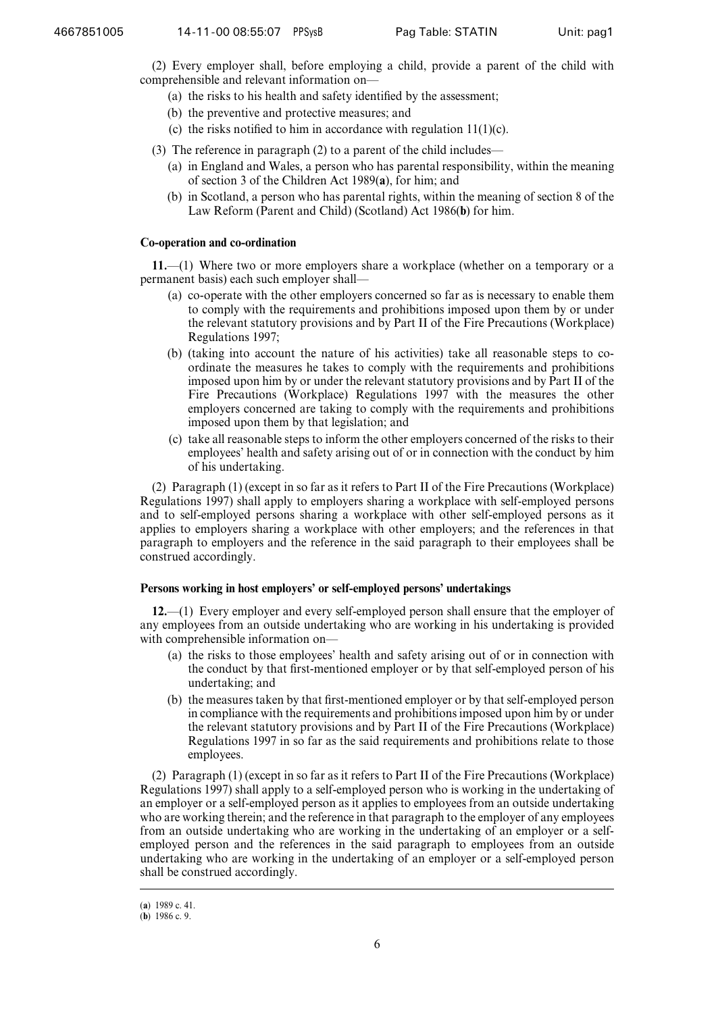(2) Every employer shall, before employing a child, provide a parent of the child with comprehensible and relevant information on—

- (a) the risks to his health and safety identified by the assessment;
- (b) the preventive and protective measures; and
- (c) the risks notified to him in accordance with regulation  $11(1)(c)$ .

(3) The reference in paragraph (2) to a parent of the child includes—

- (a) in England and Wales, a person who has parental responsibility, within the meaning of section 3 of the Children Act 1989(**a**), for him; and
- (b) in Scotland, a person who has parental rights, within the meaning of section 8 of the Law Reform (Parent and Child) (Scotland) Act 1986(**b**) for him.

### **Co-operation and co-ordination**

**11.**—(1) Where two or more employers share a workplace (whether on a temporary or a permanent basis) each such employer shall—

- (a) co-operate with the other employers concerned so far as is necessary to enable them to comply with the requirements and prohibitions imposed upon them by or under the relevant statutory provisions and by Part II of the Fire Precautions (Workplace) Regulations 1997;
- (b) (taking into account the nature of his activities) take all reasonable steps to coordinate the measures he takes to comply with the requirements and prohibitions imposed upon him by or under the relevant statutory provisions and by Part II of the Fire Precautions (Workplace) Regulations 1997 with the measures the other employers concerned are taking to comply with the requirements and prohibitions imposed upon them by that legislation; and
- (c) take all reasonable steps to inform the other employers concerned of the risks to their employees' health and safety arising out of or in connection with the conduct by him of his undertaking.

(2) Paragraph (1) (except in so far as it refers to Part II of the Fire Precautions (Workplace) Regulations 1997) shall apply to employers sharing a workplace with self-employed persons and to self-employed persons sharing a workplace with other self-employed persons as it applies to employers sharing a workplace with other employers; and the references in that paragraph to employers and the reference in the said paragraph to their employees shall be construed accordingly.

### **Persons working in host employers' or self-employed persons' undertakings**

**12.**—(1) Every employer and every self-employed person shall ensure that the employer of any employees from an outside undertaking who are working in his undertaking is provided with comprehensible information on—

- (a) the risks to those employees' health and safety arising out of or in connection with the conduct by that first-mentioned employer or by that self-employed person of his undertaking; and
- (b) the measures taken by that first-mentioned employer or by that self-employed person in compliance with the requirements and prohibitions imposed upon him by or under the relevant statutory provisions and by Part II of the Fire Precautions (Workplace) Regulations 1997 in so far as the said requirements and prohibitions relate to those employees.

(2) Paragraph (1) (except in so far as it refers to Part II of the Fire Precautions (Workplace) Regulations 1997) shall apply to a self-employed person who is working in the undertaking of an employer or a self-employed person as it applies to employees from an outside undertaking who are working therein; and the reference in that paragraph to the employer of any employees from an outside undertaking who are working in the undertaking of an employer or a selfemployed person and the references in the said paragraph to employees from an outside undertaking who are working in the undertaking of an employer or a self-employed person shall be construed accordingly.

<sup>(</sup>a) 1989 c. 41.

 $(b)$  1986 c. 9.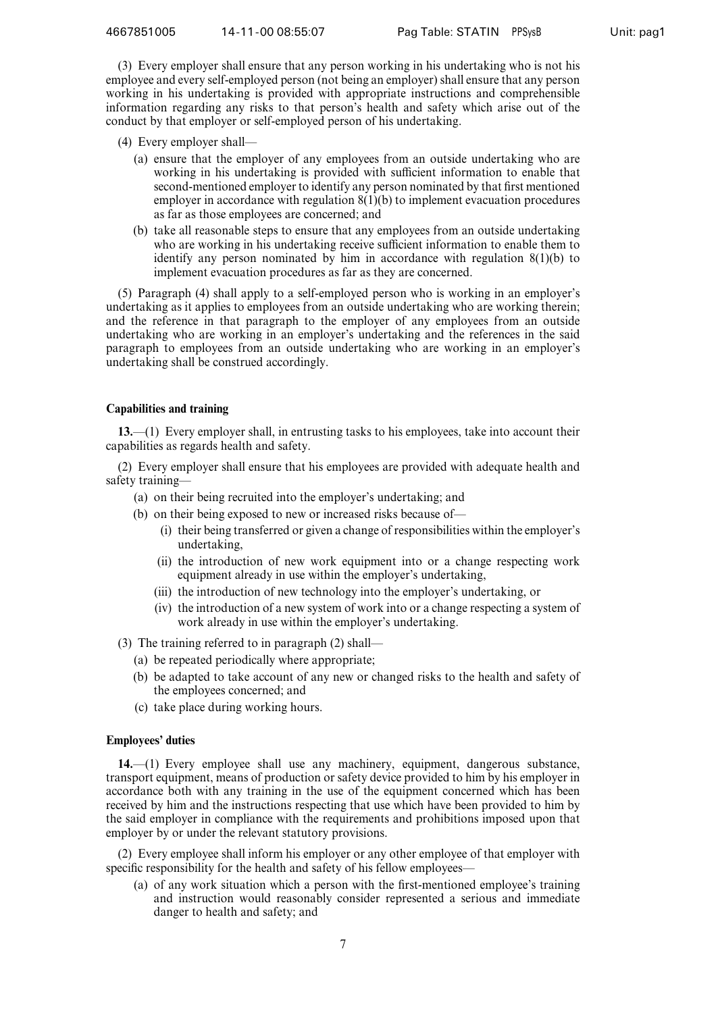(3) Every employer shall ensure that any person working in his undertaking who is not his employee and every self-employed person (not being an employer) shall ensure that any person working in his undertaking is provided with appropriate instructions and comprehensible information regarding any risks to that person's health and safety which arise out of the conduct by that employer or self-employed person of his undertaking.

- (4) Every employer shall—
	- (a) ensure that the employer of any employees from an outside undertaking who are working in his undertaking is provided with sufficient information to enable that second-mentioned employer to identify any person nominated by that first mentioned employer in accordance with regulation 8(1)(b) to implement evacuation procedures as far as those employees are concerned; and
	- (b) take all reasonable steps to ensure that any employees from an outside undertaking who are working in his undertaking receive sufficient information to enable them to identify any person nominated by him in accordance with regulation 8(1)(b) to implement evacuation procedures as far as they are concerned.

(5) Paragraph (4) shall apply to a self-employed person who is working in an employer's undertaking as it applies to employees from an outside undertaking who are working therein; and the reference in that paragraph to the employer of any employees from an outside undertaking who are working in an employer's undertaking and the references in the said paragraph to employees from an outside undertaking who are working in an employer's undertaking shall be construed accordingly.

#### **Capabilities and training**

**13.**—(1) Every employer shall, in entrusting tasks to his employees, take into account their capabilities as regards health and safety.

(2) Every employer shall ensure that his employees are provided with adequate health and safety training-

- (a) on their being recruited into the employer's undertaking; and
- (b) on their being exposed to new or increased risks because of—
	- (i) their being transferred or given a change of responsibilities within the employer's undertaking,
	- (ii) the introduction of new work equipment into or a change respecting work equipment already in use within the employer's undertaking,
	- (iii) the introduction of new technology into the employer's undertaking, or
	- (iv) the introduction of a new system of work into or a change respecting a system of work already in use within the employer's undertaking.

(3) The training referred to in paragraph (2) shall—

- (a) be repeated periodically where appropriate;
- (b) be adapted to take account of any new or changed risks to the health and safety of the employees concerned; and
- (c) take place during working hours.

## **Employees' duties**

**14.**—(1) Every employee shall use any machinery, equipment, dangerous substance, transport equipment, means of production or safety device provided to him by his employer in accordance both with any training in the use of the equipment concerned which has been received by him and the instructions respecting that use which have been provided to him by the said employer in compliance with the requirements and prohibitions imposed upon that employer by or under the relevant statutory provisions.

(2) Every employee shall inform his employer or any other employee of that employer with specific responsibility for the health and safety of his fellow employees—

(a) of any work situation which a person with the first-mentioned employee's training and instruction would reasonably consider represented a serious and immediate danger to health and safety; and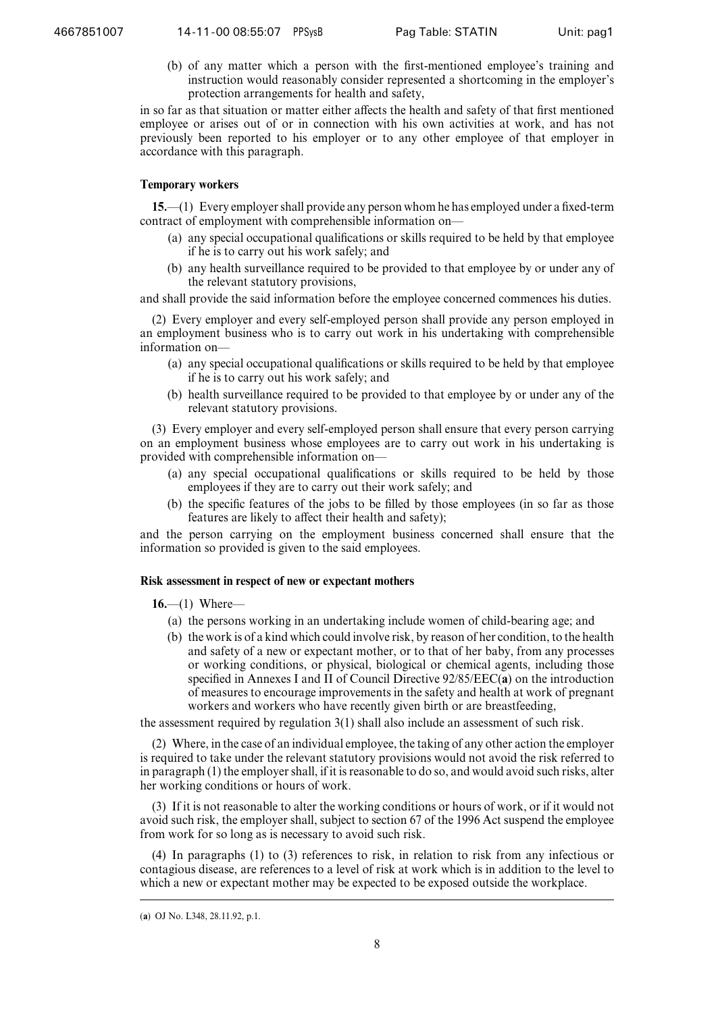(b) of any matter which a person with the first-mentioned employee's training and instruction would reasonably consider represented a shortcoming in the employer's protection arrangements for health and safety,

in so far as that situation or matter either affects the health and safety of that first mentioned employee or arises out of or in connection with his own activities at work, and has not previously been reported to his employer or to any other employee of that employer in accordance with this paragraph.

### **Temporary workers**

**15.**—(1) Every employer shall provide any person whom he has employed under a fixed-term contract of employment with comprehensible information on—

- (a) any special occupational qualifications or skills required to be held by that employee if he is to carry out his work safely; and
- (b) any health surveillance required to be provided to that employee by or under any of the relevant statutory provisions,

and shall provide the said information before the employee concerned commences his duties.

(2) Every employer and every self-employed person shall provide any person employed in an employment business who is to carry out work in his undertaking with comprehensible information on—

- (a) any special occupational qualifications or skills required to be held by that employee if he is to carry out his work safely; and
- (b) health surveillance required to be provided to that employee by or under any of the relevant statutory provisions.

(3) Every employer and every self-employed person shall ensure that every person carrying on an employment business whose employees are to carry out work in his undertaking is provided with comprehensible information on—

- (a) any special occupational qualifications or skills required to be held by those employees if they are to carry out their work safely; and
- (b) the specific features of the jobs to be filled by those employees (in so far as those features are likely to affect their health and safety);

and the person carrying on the employment business concerned shall ensure that the information so provided is given to the said employees.

#### **Risk assessment in respect of new or expectant mothers**

**16.**—(1) Where—

- (a) the persons working in an undertaking include women of child-bearing age; and
- (b) the work is of a kind which could involve risk, by reason of her condition, to the health and safety of a new or expectant mother, or to that of her baby, from any processes or working conditions, or physical, biological or chemical agents, including those specified in Annexes I and II of Council Directive 92/85/EEC(**a**) on the introduction of measures to encourage improvements in the safety and health at work of pregnant workers and workers who have recently given birth or are breastfeeding,

the assessment required by regulation 3(1) shall also include an assessment of such risk.

(2) Where, in the case of an individual employee, the taking of any other action the employer is required to take under the relevant statutory provisions would not avoid the risk referred to in paragraph (1) the employer shall, if it is reasonable to do so, and would avoid such risks, alter her working conditions or hours of work.

(3) If it is not reasonable to alter the working conditions or hours of work, or if it would not avoid such risk, the employer shall, subject to section 67 of the 1996 Act suspend the employee from work for so long as is necessary to avoid such risk.

(4) In paragraphs (1) to (3) references to risk, in relation to risk from any infectious or contagious disease, are references to a level of risk at work which is in addition to the level to which a new or expectant mother may be expected to be exposed outside the workplace.

<sup>(</sup>a) OJ No. L348, 28.11.92, p.1.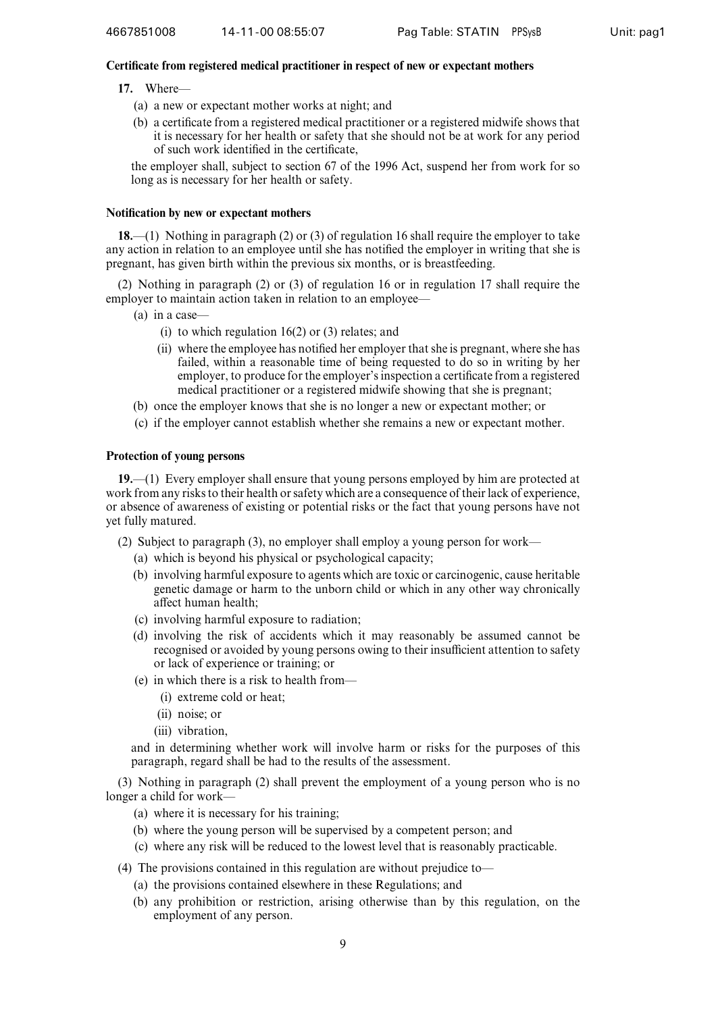#### **Certificate from registered medical practitioner in respect of new or expectant mothers**

- **17.** Where—
	- (a) a new or expectant mother works at night; and
	- (b) a certificate from a registered medical practitioner or a registered midwife shows that it is necessary for her health or safety that she should not be at work for any period of such work identified in the certificate,

the employer shall, subject to section 67 of the 1996 Act, suspend her from work for so long as is necessary for her health or safety.

#### **Notification by new or expectant mothers**

**18.**—(1) Nothing in paragraph (2) or (3) of regulation 16 shall require the employer to take any action in relation to an employee until she has notified the employer in writing that she is pregnant, has given birth within the previous six months, or is breastfeeding.

(2) Nothing in paragraph (2) or (3) of regulation 16 or in regulation 17 shall require the employer to maintain action taken in relation to an employee—

- (a) in a case—
	- (i) to which regulation  $16(2)$  or (3) relates; and
	- (ii) where the employee has notified her employer that she is pregnant, where she has failed, within a reasonable time of being requested to do so in writing by her employer, to produce for the employer's inspection a certificate from a registered medical practitioner or a registered midwife showing that she is pregnant;
- (b) once the employer knows that she is no longer a new or expectant mother; or
- (c) if the employer cannot establish whether she remains a new or expectant mother.

## **Protection of young persons**

**19.**—(1) Every employer shall ensure that young persons employed by him are protected at work from any risks to their health or safety which are a consequence of their lack of experience, or absence of awareness of existing or potential risks or the fact that young persons have not yet fully matured.

- (2) Subject to paragraph (3), no employer shall employ a young person for work—
	- (a) which is beyond his physical or psychological capacity;
	- (b) involving harmful exposure to agents which are toxic or carcinogenic, cause heritable genetic damage or harm to the unborn child or which in any other way chronically affect human health;
	- (c) involving harmful exposure to radiation;
	- (d) involving the risk of accidents which it may reasonably be assumed cannot be recognised or avoided by young persons owing to their insufficient attention to safety or lack of experience or training; or
	- (e) in which there is a risk to health from—
		- (i) extreme cold or heat;
		- (ii) noise; or
		- (iii) vibration,

and in determining whether work will involve harm or risks for the purposes of this paragraph, regard shall be had to the results of the assessment.

(3) Nothing in paragraph (2) shall prevent the employment of a young person who is no longer a child for work—

- (a) where it is necessary for his training;
- (b) where the young person will be supervised by a competent person; and
- (c) where any risk will be reduced to the lowest level that is reasonably practicable.
- (4) The provisions contained in this regulation are without prejudice to—
	- (a) the provisions contained elsewhere in these Regulations; and
	- (b) any prohibition or restriction, arising otherwise than by this regulation, on the employment of any person.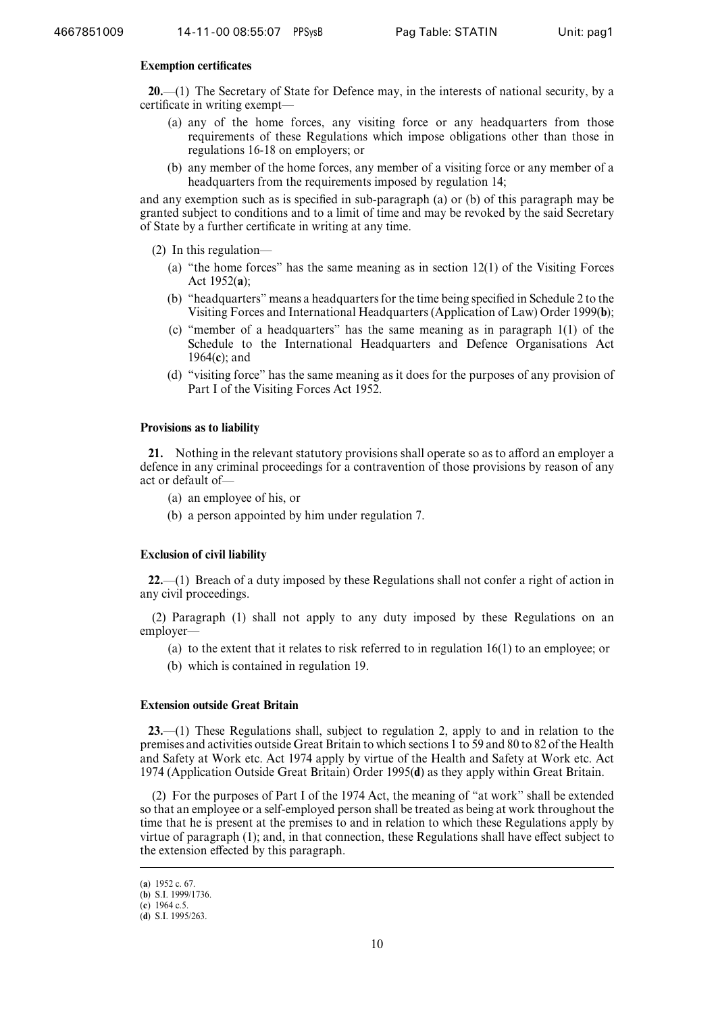#### **Exemption certificates**

**20.**—(1) The Secretary of State for Defence may, in the interests of national security, by a certificate in writing exempt—

- (a) any of the home forces, any visiting force or any headquarters from those requirements of these Regulations which impose obligations other than those in regulations 16-18 on employers; or
- (b) any member of the home forces, any member of a visiting force or any member of a headquarters from the requirements imposed by regulation 14;

and any exemption such as is specified in sub-paragraph (a) or (b) of this paragraph may be granted subject to conditions and to a limit of time and may be revoked by the said Secretary of State by a further certificate in writing at any time.

- (2) In this regulation—
	- (a) "the home forces" has the same meaning as in section 12(1) of the Visiting Forces Act 1952(**a**);
	- (b) "headquarters" means a headquarters for the time being specified in Schedule 2 to the Visiting Forces and International Headquarters (Application of Law) Order 1999(**b**);
	- (c) "member of a headquarters" has the same meaning as in paragraph 1(1) of the Schedule to the International Headquarters and Defence Organisations Act 1964(**c**); and
	- (d) "visiting force" has the same meaning as it does for the purposes of any provision of Part I of the Visiting Forces Act 1952.

### **Provisions as to liability**

**21.** Nothing in the relevant statutory provisions shall operate so as to afford an employer a defence in any criminal proceedings for a contravention of those provisions by reason of any act or default of—

- (a) an employee of his, or
- (b) a person appointed by him under regulation 7.

#### **Exclusion of civil liability**

**22.**—(1) Breach of a duty imposed by these Regulations shall not confer a right of action in any civil proceedings.

(2) Paragraph (1) shall not apply to any duty imposed by these Regulations on an employer—

- (a) to the extent that it relates to risk referred to in regulation 16(1) to an employee; or
- (b) which is contained in regulation 19.

## **Extension outside Great Britain**

**23.**—(1) These Regulations shall, subject to regulation 2, apply to and in relation to the premises and activities outside Great Britain to which sections 1 to 59 and 80 to 82 of the Health and Safety at Work etc. Act 1974 apply by virtue of the Health and Safety at Work etc. Act 1974 (Application Outside Great Britain) Order 1995(**d**) as they apply within Great Britain.

(2) For the purposes of Part I of the 1974 Act, the meaning of "at work" shall be extended so that an employee or a self-employed person shall be treated as being at work throughout the time that he is present at the premises to and in relation to which these Regulations apply by virtue of paragraph (1); and, in that connection, these Regulations shall have effect subject to the extension effected by this paragraph.

<sup>(</sup>a) 1952 c. 67.

<sup>(</sup>b) S.I. 1999/1736.

<sup>(</sup>c) 1964 c.5.

 $(d)$  S.I. 1995/263.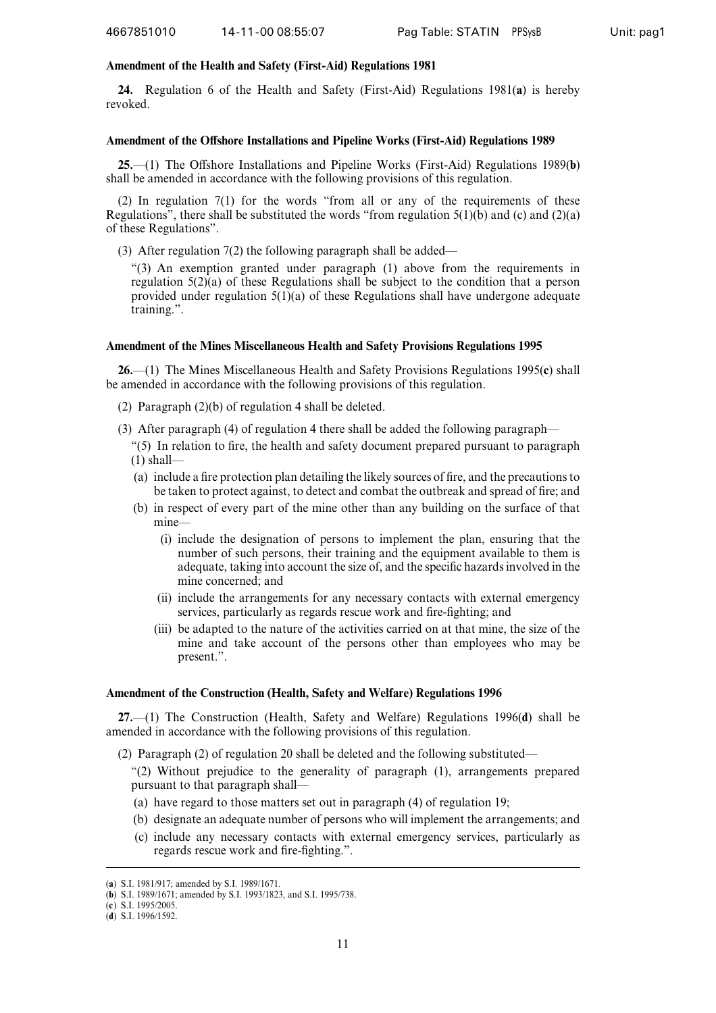## **Amendment of the Health and Safety (First-Aid) Regulations 1981**

**24.** Regulation 6 of the Health and Safety (First-Aid) Regulations 1981(**a**) is hereby revoked.

### **Amendment of the Offshore Installations and Pipeline Works (First-Aid) Regulations 1989**

**25.**—(1) The Offshore Installations and Pipeline Works (First-Aid) Regulations 1989(**b**) shall be amended in accordance with the following provisions of this regulation.

(2) In regulation 7(1) for the words "from all or any of the requirements of these Regulations", there shall be substituted the words "from regulation  $5(1)(b)$  and  $(c)$  and  $(2)(a)$ of these Regulations".

(3) After regulation 7(2) the following paragraph shall be added—

"(3) An exemption granted under paragraph (1) above from the requirements in regulation 5(2)(a) of these Regulations shall be subject to the condition that a person provided under regulation  $5(1)(a)$  of these Regulations shall have undergone adequate training.".

#### **Amendment of the Mines Miscellaneous Health and Safety Provisions Regulations 1995**

**26.**—(1) The Mines Miscellaneous Health and Safety Provisions Regulations 1995(**c**) shall be amended in accordance with the following provisions of this regulation.

- (2) Paragraph (2)(b) of regulation 4 shall be deleted.
- (3) After paragraph (4) of regulation 4 there shall be added the following paragraph—
	- "(5) In relation to fire, the health and safety document prepared pursuant to paragraph  $(1)$  shall-
	- (a) include a fire protection plan detailing the likely sources of fire, and the precautions to be taken to protect against, to detect and combat the outbreak and spread of fire; and
	- (b) in respect of every part of the mine other than any building on the surface of that mine—
		- (i) include the designation of persons to implement the plan, ensuring that the number of such persons, their training and the equipment available to them is adequate, taking into account the size of, and the specific hazards involved in the mine concerned; and
		- (ii) include the arrangements for any necessary contacts with external emergency services, particularly as regards rescue work and fire-fighting; and
		- (iii) be adapted to the nature of the activities carried on at that mine, the size of the mine and take account of the persons other than employees who may be present.".

## **Amendment of the Construction (Health, Safety and Welfare) Regulations 1996**

**27.**—(1) The Construction (Health, Safety and Welfare) Regulations 1996(**d**) shall be amended in accordance with the following provisions of this regulation.

(2) Paragraph (2) of regulation 20 shall be deleted and the following substituted—

"(2) Without prejudice to the generality of paragraph (1), arrangements prepared pursuant to that paragraph shall—

- (a) have regard to those matters set out in paragraph (4) of regulation 19;
- (b) designate an adequate number of persons who will implement the arrangements; and
- (c) include any necessary contacts with external emergency services, particularly as regards rescue work and fire-fighting.".

<sup>(</sup>a) S.I. 1981/917; amended by S.I. 1989/1671.

<sup>(</sup>b) S.I. 1989/1671; amended by S.I. 1993/1823, and S.I. 1995/738.

<sup>(</sup>c) S.I. 1995/2005.

 $(d)$  S.I. 1996/1592.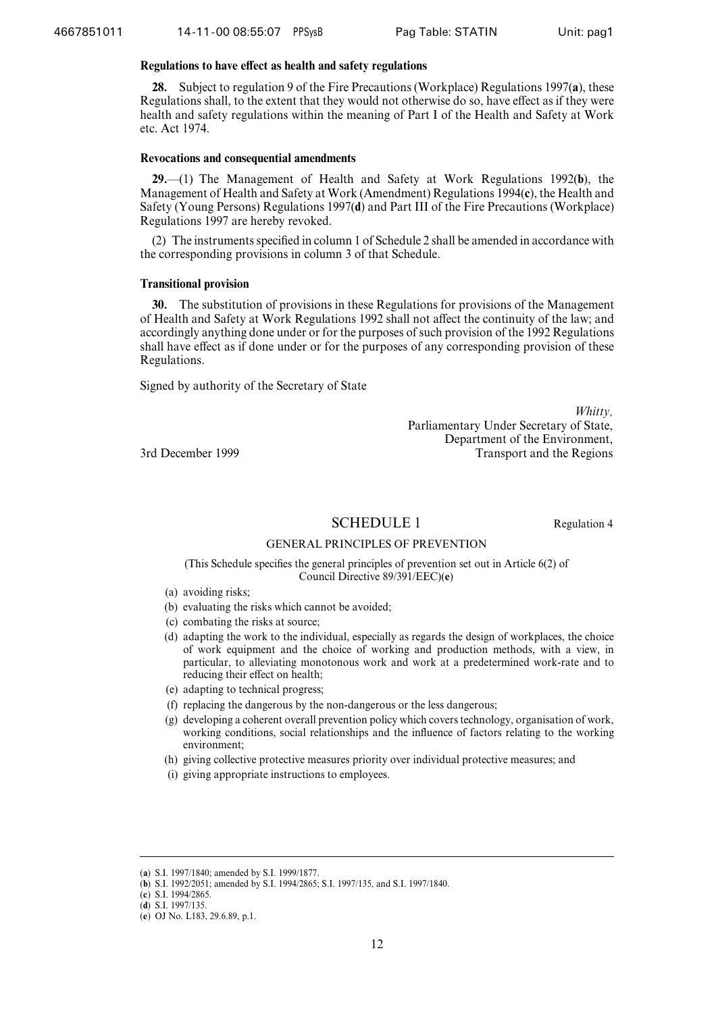#### **Regulations to have effect as health and safety regulations**

**28.** Subject to regulation 9 of the Fire Precautions (Workplace) Regulations 1997(**a**), these Regulations shall, to the extent that they would not otherwise do so, have effect as if they were health and safety regulations within the meaning of Part I of the Health and Safety at Work etc. Act 1974.

#### **Revocations and consequential amendments**

**29.**—(1) The Management of Health and Safety at Work Regulations 1992(**b**), the Management of Health and Safety at Work (Amendment) Regulations 1994(**c**), the Health and Safety (Young Persons) Regulations 1997(**d**) and Part III of the Fire Precautions (Workplace) Regulations 1997 are hereby revoked.

(2) The instruments specified in column 1 of Schedule 2 shall be amended in accordance with the corresponding provisions in column 3 of that Schedule.

#### **Transitional provision**

**30.** The substitution of provisions in these Regulations for provisions of the Management of Health and Safety at Work Regulations 1992 shall not affect the continuity of the law; and accordingly anything done under or for the purposes of such provision of the 1992 Regulations shall have effect as if done under or for the purposes of any corresponding provision of these Regulations.

Signed by authority of the Secretary of State

*Whitty,* Parliamentary Under Secretary of State, Department of the Environment, 3rd December 1999 Transport and the Regions

SCHEDULE 1 Regulation 4

## GENERAL PRINCIPLES OF PREVENTION

(This Schedule specifies the general principles of prevention set out in Article 6(2) of Council Directive 89/391/EEC)(**e**)

- (a) avoiding risks;
- (b) evaluating the risks which cannot be avoided;
- (c) combating the risks at source;
- (d) adapting the work to the individual, especially as regards the design of workplaces, the choice of work equipment and the choice of working and production methods, with a view, in particular, to alleviating monotonous work and work at a predetermined work-rate and to reducing their effect on health;
- (e) adapting to technical progress;
- (f) replacing the dangerous by the non-dangerous or the less dangerous;
- (g) developing a coherent overall prevention policy which covers technology, organisation of work, working conditions, social relationships and the influence of factors relating to the working environment;
- (h) giving collective protective measures priority over individual protective measures; and
- (i) giving appropriate instructions to employees.

<sup>(</sup>a) S.I. 1997/1840; amended by S.I. 1999/1877.

<sup>(</sup>b) S.I. 1992/2051; amended by S.I. 1994/2865; S.I. 1997/135, and S.I. 1997/1840.

<sup>(</sup>c) S.I. 1994/2865.

<sup>(</sup>d) S.I. 1997/135.

<sup>(</sup>e) OJ No. L183, 29.6.89, p.1.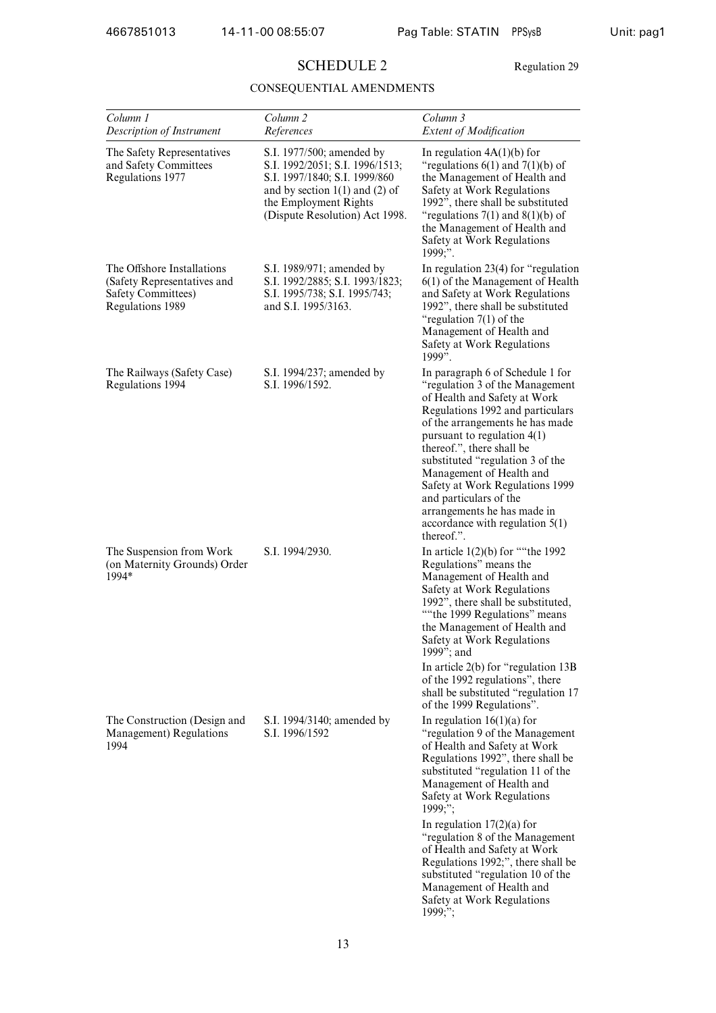## SCHEDULE 2 Regulation 29

## CONSEQUENTIAL AMENDMENTS

| Column 1<br>Description of Instrument                                                               | Column 2<br>References                                                                                                                                                                         | Column 3<br><b>Extent of Modification</b>                                                                                                                                                                                                                                                                                                                                                                                                                                                             |
|-----------------------------------------------------------------------------------------------------|------------------------------------------------------------------------------------------------------------------------------------------------------------------------------------------------|-------------------------------------------------------------------------------------------------------------------------------------------------------------------------------------------------------------------------------------------------------------------------------------------------------------------------------------------------------------------------------------------------------------------------------------------------------------------------------------------------------|
| The Safety Representatives<br>and Safety Committees<br>Regulations 1977                             | S.I. 1977/500; amended by<br>S.I. 1992/2051; S.I. 1996/1513;<br>S.I. 1997/1840; S.I. 1999/860<br>and by section $1(1)$ and $(2)$ of<br>the Employment Rights<br>(Dispute Resolution) Act 1998. | In regulation $4A(1)(b)$ for<br>"regulations $6(1)$ and $7(1)(b)$ of<br>the Management of Health and<br>Safety at Work Regulations<br>1992", there shall be substituted<br>"regulations $7(1)$ and $8(1)(b)$ of<br>the Management of Health and<br>Safety at Work Regulations<br>$1999;$ ".                                                                                                                                                                                                           |
| The Offshore Installations<br>(Safety Representatives and<br>Safety Committees)<br>Regulations 1989 | S.I. 1989/971; amended by<br>S.I. 1992/2885; S.I. 1993/1823;<br>S.I. 1995/738; S.I. 1995/743;<br>and S.I. 1995/3163.                                                                           | In regulation $23(4)$ for "regulation<br>$6(1)$ of the Management of Health<br>and Safety at Work Regulations<br>1992", there shall be substituted<br>"regulation $7(1)$ of the<br>Management of Health and<br>Safety at Work Regulations<br>1999".                                                                                                                                                                                                                                                   |
| The Railways (Safety Case)<br>Regulations 1994                                                      | S.I. 1994/237; amended by<br>S.I. 1996/1592.                                                                                                                                                   | In paragraph 6 of Schedule 1 for<br>"regulation 3 of the Management"<br>of Health and Safety at Work<br>Regulations 1992 and particulars<br>of the arrangements he has made<br>pursuant to regulation $4(1)$<br>thereof.", there shall be<br>substituted "regulation 3 of the<br>Management of Health and<br>Safety at Work Regulations 1999<br>and particulars of the<br>arrangements he has made in<br>accordance with regulation $5(1)$<br>thereof.".                                              |
| The Suspension from Work<br>(on Maternity Grounds) Order<br>1994*                                   | S.I. 1994/2930.                                                                                                                                                                                | In article $1(2)(b)$ for ""the 1992<br>Regulations" means the<br>Management of Health and<br>Safety at Work Regulations<br>1992", there shall be substituted,<br>""the 1999 Regulations" means<br>the Management of Health and<br>Safety at Work Regulations<br>1999"; and<br>In article $2(b)$ for "regulation 13B<br>of the 1992 regulations", there<br>shall be substituted "regulation 17<br>of the 1999 Regulations".                                                                            |
| The Construction (Design and<br>Management) Regulations<br>1994                                     | S.I. 1994/3140; amended by<br>S.I. 1996/1592                                                                                                                                                   | In regulation $16(1)(a)$ for<br>"regulation 9 of the Management"<br>of Health and Safety at Work<br>Regulations 1992", there shall be<br>substituted "regulation 11 of the<br>Management of Health and<br>Safety at Work Regulations<br>$1999;$ ";<br>In regulation $17(2)(a)$ for<br>"regulation 8 of the Management<br>of Health and Safety at Work<br>Regulations 1992;", there shall be<br>substituted "regulation 10 of the<br>Management of Health and<br>Safety at Work Regulations<br>1999;"; |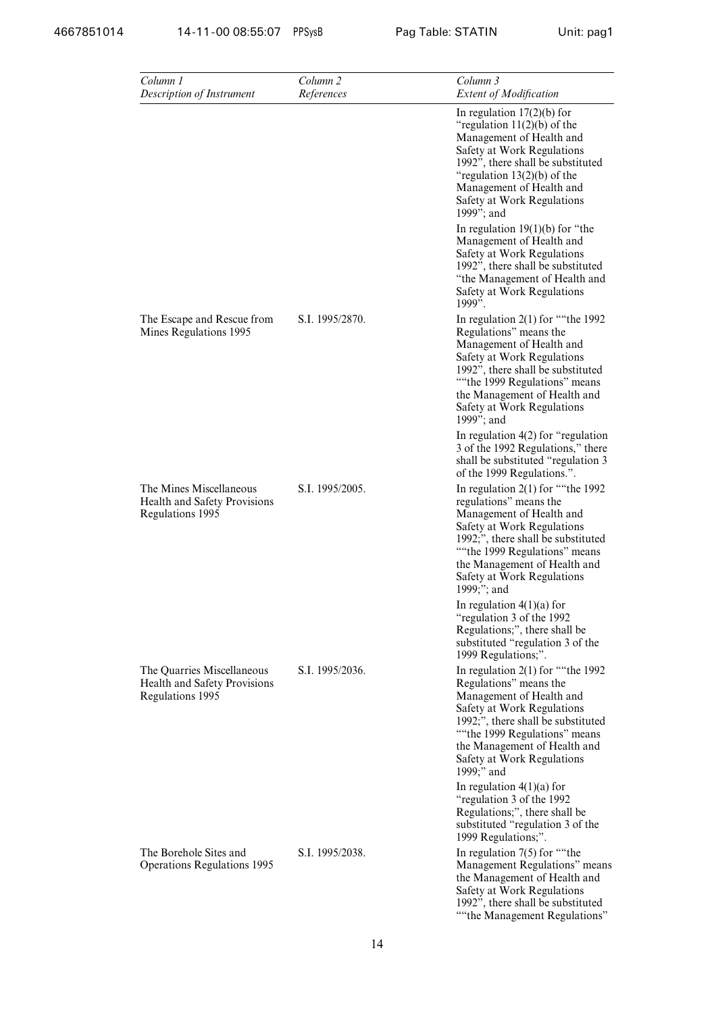| Column 1<br>Description of Instrument                                          | Column <sub>2</sub><br>References | Column 3<br><b>Extent of Modification</b>                                                                                                                                                                                                                                   |
|--------------------------------------------------------------------------------|-----------------------------------|-----------------------------------------------------------------------------------------------------------------------------------------------------------------------------------------------------------------------------------------------------------------------------|
|                                                                                |                                   | In regulation $17(2)(b)$ for<br>"regulation $11(2)(b)$ of the<br>Management of Health and<br>Safety at Work Regulations<br>1992", there shall be substituted<br>"regulation $13(2)(b)$ of the<br>Management of Health and<br>Safety at Work Regulations<br>1999"; and       |
|                                                                                |                                   | In regulation $19(1)(b)$ for "the<br>Management of Health and<br>Safety at Work Regulations<br>1992", there shall be substituted<br>"the Management of Health and<br>Safety at Work Regulations<br>1999".                                                                   |
| The Escape and Rescue from<br>Mines Regulations 1995                           | S.I. 1995/2870.                   | In regulation $2(1)$ for ""the 1992<br>Regulations" means the<br>Management of Health and<br>Safety at Work Regulations<br>1992", there shall be substituted<br>""the 1999 Regulations" means<br>the Management of Health and<br>Safety at Work Regulations<br>1999"; and   |
|                                                                                |                                   | In regulation $4(2)$ for "regulation"<br>3 of the 1992 Regulations," there<br>shall be substituted "regulation 3<br>of the 1999 Regulations.".                                                                                                                              |
| The Mines Miscellaneous<br>Health and Safety Provisions<br>Regulations 1995    | S.I. 1995/2005.                   | In regulation $2(1)$ for ""the 1992<br>regulations" means the<br>Management of Health and<br>Safety at Work Regulations<br>1992;", there shall be substituted<br>""the 1999 Regulations" means<br>the Management of Health and<br>Safety at Work Regulations<br>1999;"; and |
|                                                                                |                                   | In regulation $4(1)(a)$ for<br>"regulation 3 of the 1992<br>Regulations;", there shall be<br>substituted "regulation 3 of the<br>1999 Regulations;".                                                                                                                        |
| The Quarries Miscellaneous<br>Health and Safety Provisions<br>Regulations 1995 | S.I. 1995/2036.                   | In regulation $2(1)$ for ""the 1992<br>Regulations" means the<br>Management of Health and<br>Safety at Work Regulations<br>1992;", there shall be substituted<br>""the 1999 Regulations" means<br>the Management of Health and<br>Safety at Work Regulations<br>1999;" and  |
|                                                                                |                                   | In regulation $4(1)(a)$ for<br>"regulation 3 of the 1992<br>Regulations;", there shall be<br>substituted "regulation 3 of the<br>1999 Regulations;".                                                                                                                        |
| The Borehole Sites and<br>Operations Regulations 1995                          | S.I. 1995/2038.                   | In regulation $7(5)$ for ""the<br>Management Regulations" means<br>the Management of Health and<br>Safety at Work Regulations<br>1992", there shall be substituted<br>""the Management Regulations"                                                                         |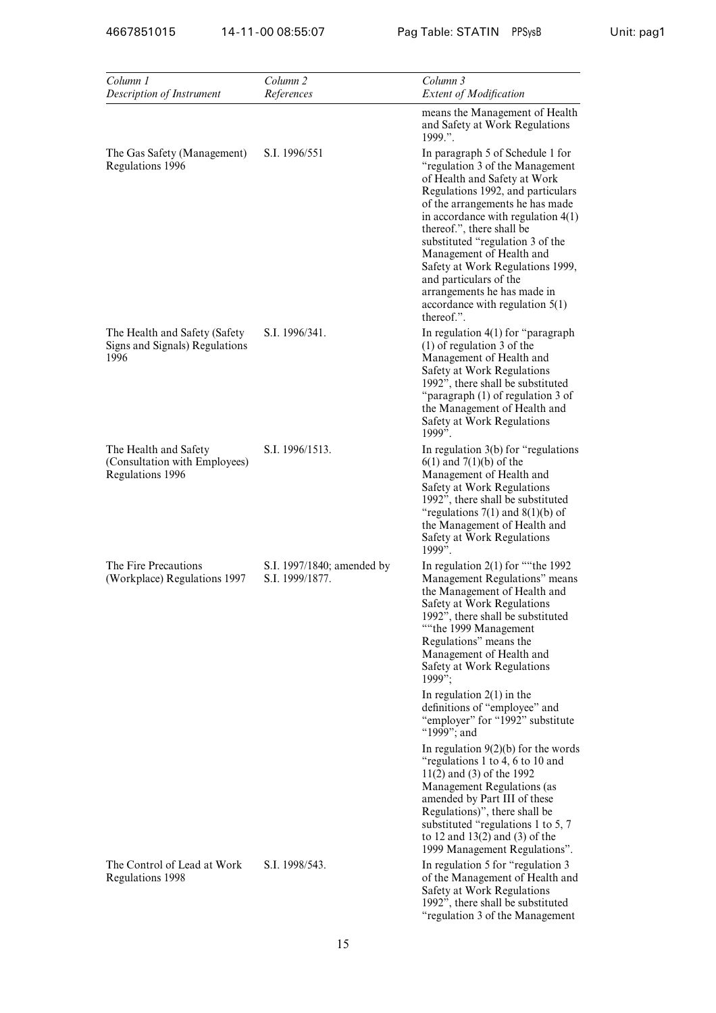| Column 1<br>Description of Instrument                                      | Column 2<br>References                        | Column 3<br><b>Extent of Modification</b>                                                                                                                                                                                                                                                                                                                                                                                                                         |
|----------------------------------------------------------------------------|-----------------------------------------------|-------------------------------------------------------------------------------------------------------------------------------------------------------------------------------------------------------------------------------------------------------------------------------------------------------------------------------------------------------------------------------------------------------------------------------------------------------------------|
|                                                                            |                                               | means the Management of Health<br>and Safety at Work Regulations<br>1999."                                                                                                                                                                                                                                                                                                                                                                                        |
| The Gas Safety (Management)<br>Regulations 1996                            | S.I. 1996/551                                 | In paragraph 5 of Schedule 1 for<br>"regulation 3 of the Management"<br>of Health and Safety at Work<br>Regulations 1992, and particulars<br>of the arrangements he has made<br>in accordance with regulation $4(1)$<br>thereof.", there shall be<br>substituted "regulation 3 of the<br>Management of Health and<br>Safety at Work Regulations 1999,<br>and particulars of the<br>arrangements he has made in<br>accordance with regulation $5(1)$<br>thereof.". |
| The Health and Safety (Safety<br>Signs and Signals) Regulations<br>1996    | S.I. 1996/341.                                | In regulation $4(1)$ for "paragraph"<br>$(1)$ of regulation 3 of the<br>Management of Health and<br>Safety at Work Regulations<br>1992", there shall be substituted<br>"paragraph (1) of regulation 3 of<br>the Management of Health and<br>Safety at Work Regulations<br>1999".                                                                                                                                                                                  |
| The Health and Safety<br>(Consultation with Employees)<br>Regulations 1996 | S.I. 1996/1513.                               | In regulation $3(b)$ for "regulations"<br>$6(1)$ and $7(1)(b)$ of the<br>Management of Health and<br>Safety at Work Regulations<br>1992", there shall be substituted<br>"regulations $7(1)$ and $8(1)(b)$ of<br>the Management of Health and<br>Safety at Work Regulations<br>1999".                                                                                                                                                                              |
| The Fire Precautions<br>(Workplace) Regulations 1997                       | S.I. 1997/1840; amended by<br>S.I. 1999/1877. | In regulation $2(1)$ for ""the 1992<br>Management Regulations" means<br>the Management of Health and<br>Safety at Work Regulations<br>1992", there shall be substituted<br>""the 1999 Management<br>Regulations" means the<br>Management of Health and<br>Safety at Work Regulations<br>1999";                                                                                                                                                                    |
|                                                                            |                                               | In regulation $2(1)$ in the<br>definitions of "employee" and<br>"employer" for "1992" substitute<br>"1999"; and                                                                                                                                                                                                                                                                                                                                                   |
|                                                                            |                                               | In regulation $9(2)(b)$ for the words<br>"regulations 1 to 4, 6 to 10 and<br>$11(2)$ and (3) of the 1992<br>Management Regulations (as<br>amended by Part III of these<br>Regulations)", there shall be<br>substituted "regulations 1 to 5, 7<br>to 12 and $13(2)$ and $(3)$ of the<br>1999 Management Regulations".                                                                                                                                              |
| The Control of Lead at Work<br>Regulations 1998                            | S.I. 1998/543.                                | In regulation 5 for "regulation 3<br>of the Management of Health and<br>Safety at Work Regulations<br>1992", there shall be substituted<br>"regulation 3 of the Management                                                                                                                                                                                                                                                                                        |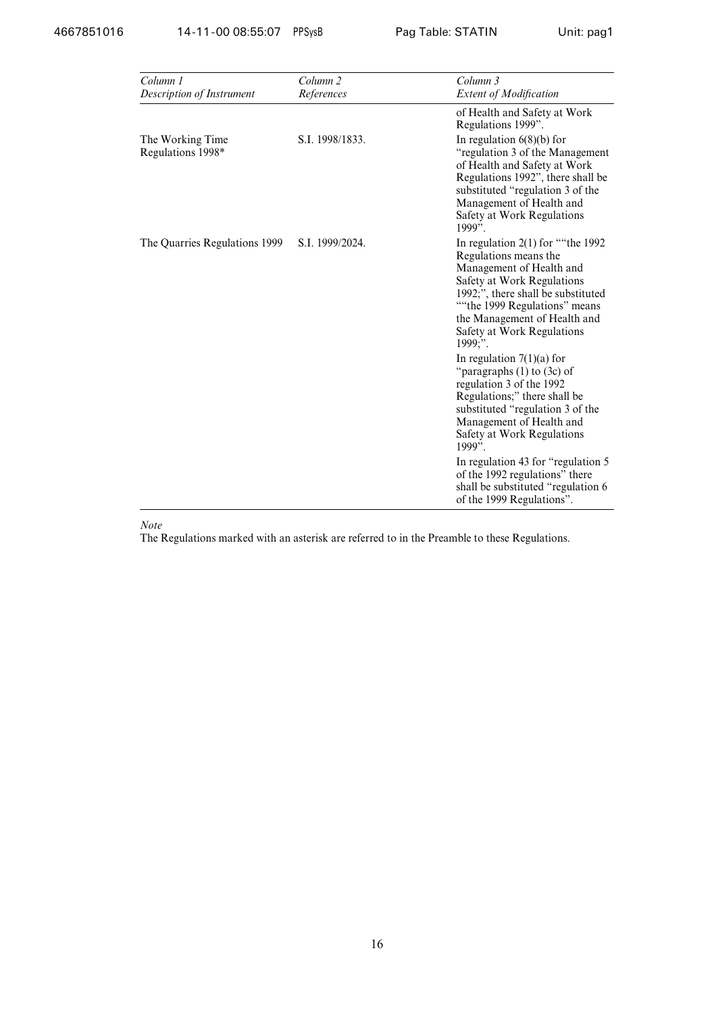| Column 1<br>Description of Instrument | Column 2<br>References | Column 3<br><b>Extent of Modification</b>                                                                                                                                                                                                                              |
|---------------------------------------|------------------------|------------------------------------------------------------------------------------------------------------------------------------------------------------------------------------------------------------------------------------------------------------------------|
|                                       |                        | of Health and Safety at Work<br>Regulations 1999".                                                                                                                                                                                                                     |
| The Working Time<br>Regulations 1998* | S.I. 1998/1833.        | In regulation $6(8)(b)$ for<br>"regulation 3 of the Management"<br>of Health and Safety at Work<br>Regulations 1992", there shall be<br>substituted "regulation 3 of the<br>Management of Health and<br>Safety at Work Regulations<br>$1999$ ".                        |
| The Quarries Regulations 1999         | S.I. 1999/2024.        | In regulation $2(1)$ for ""the 1992<br>Regulations means the<br>Management of Health and<br>Safety at Work Regulations<br>1992;", there shall be substituted<br>""the 1999 Regulations" means<br>the Management of Health and<br>Safety at Work Regulations<br>1999;". |
|                                       |                        | In regulation $7(1)(a)$ for<br>"paragraphs $(1)$ to $(3c)$ of<br>regulation 3 of the 1992<br>Regulations;" there shall be<br>substituted "regulation 3 of the<br>Management of Health and<br>Safety at Work Regulations<br>1999".                                      |
|                                       |                        | In regulation 43 for "regulation 5<br>of the 1992 regulations" there<br>shall be substituted "regulation 6<br>of the 1999 Regulations".                                                                                                                                |

## *Note*

The Regulations marked with an asterisk are referred to in the Preamble to these Regulations.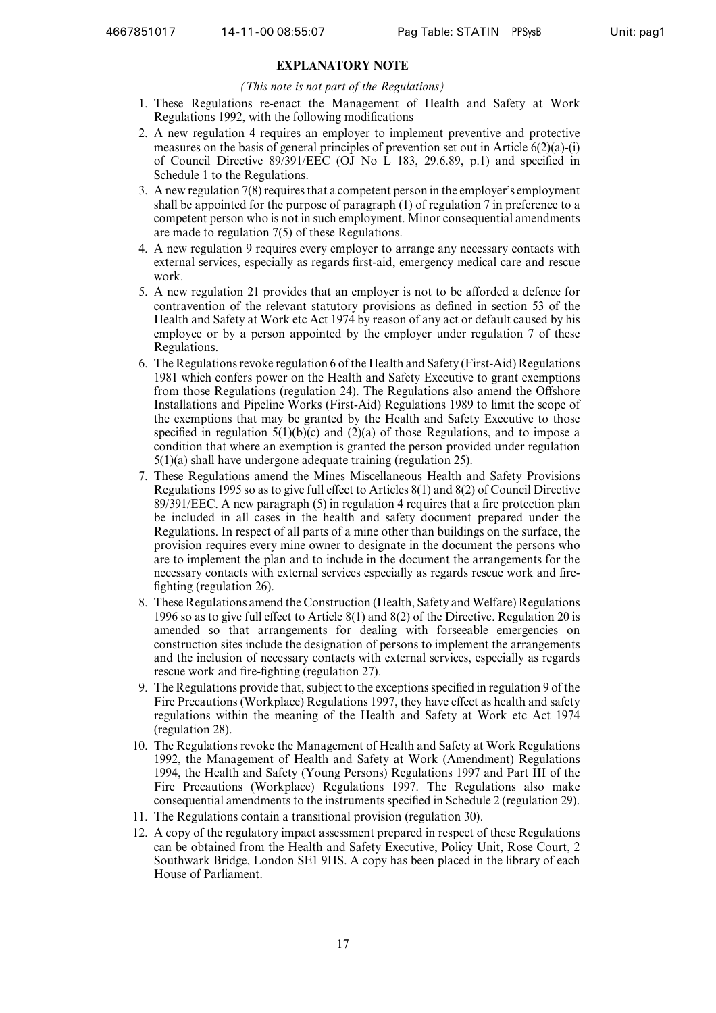### **EXPLANATORY NOTE**

#### *(This note is not part of the Regulations)*

- 1. These Regulations re-enact the Management of Health and Safety at Work Regulations 1992, with the following modifications—
- 2. A new regulation 4 requires an employer to implement preventive and protective measures on the basis of general principles of prevention set out in Article  $6(2)(a)-(i)$ of Council Directive 89/391/EEC (OJ No L 183, 29.6.89, p.1) and specified in Schedule 1 to the Regulations.
- 3. A new regulation 7(8) requires that a competent person in the employer's employment shall be appointed for the purpose of paragraph (1) of regulation 7 in preference to a competent person who is not in such employment. Minor consequential amendments are made to regulation 7(5) of these Regulations.
- 4. A new regulation 9 requires every employer to arrange any necessary contacts with external services, especially as regards first-aid, emergency medical care and rescue work.
- 5. A new regulation 21 provides that an employer is not to be afforded a defence for contravention of the relevant statutory provisions as defined in section 53 of the Health and Safety at Work etc Act 1974 by reason of any act or default caused by his employee or by a person appointed by the employer under regulation 7 of these Regulations.
- 6. The Regulations revoke regulation 6 of the Health and Safety (First-Aid) Regulations 1981 which confers power on the Health and Safety Executive to grant exemptions from those Regulations (regulation 24). The Regulations also amend the Offshore Installations and Pipeline Works (First-Aid) Regulations 1989 to limit the scope of the exemptions that may be granted by the Health and Safety Executive to those specified in regulation  $5(1)(b)(c)$  and  $(2)(a)$  of those Regulations, and to impose a condition that where an exemption is granted the person provided under regulation 5(1)(a) shall have undergone adequate training (regulation 25).
- 7. These Regulations amend the Mines Miscellaneous Health and Safety Provisions Regulations 1995 so as to give full effect to Articles 8(1) and 8(2) of Council Directive 89/391/EEC. A new paragraph (5) in regulation 4 requires that a fire protection plan be included in all cases in the health and safety document prepared under the Regulations. In respect of all parts of a mine other than buildings on the surface, the provision requires every mine owner to designate in the document the persons who are to implement the plan and to include in the document the arrangements for the necessary contacts with external services especially as regards rescue work and firefighting (regulation 26).
- 8. These Regulations amend the Construction (Health, Safety and Welfare) Regulations 1996 so as to give full effect to Article 8(1) and 8(2) of the Directive. Regulation 20 is amended so that arrangements for dealing with forseeable emergencies on construction sites include the designation of persons to implement the arrangements and the inclusion of necessary contacts with external services, especially as regards rescue work and fire-fighting (regulation 27).
- 9. The Regulations provide that, subject to the exceptions specified in regulation 9 of the Fire Precautions (Workplace) Regulations 1997, they have effect as health and safety regulations within the meaning of the Health and Safety at Work etc Act 1974 (regulation 28).
- 10. The Regulations revoke the Management of Health and Safety at Work Regulations 1992, the Management of Health and Safety at Work (Amendment) Regulations 1994, the Health and Safety (Young Persons) Regulations 1997 and Part III of the Fire Precautions (Workplace) Regulations 1997. The Regulations also make consequential amendments to the instruments specified in Schedule 2 (regulation 29).
- 11. The Regulations contain a transitional provision (regulation 30).
- 12. A copy of the regulatory impact assessment prepared in respect of these Regulations can be obtained from the Health and Safety Executive, Policy Unit, Rose Court, 2 Southwark Bridge, London SE1 9HS. A copy has been placed in the library of each House of Parliament.